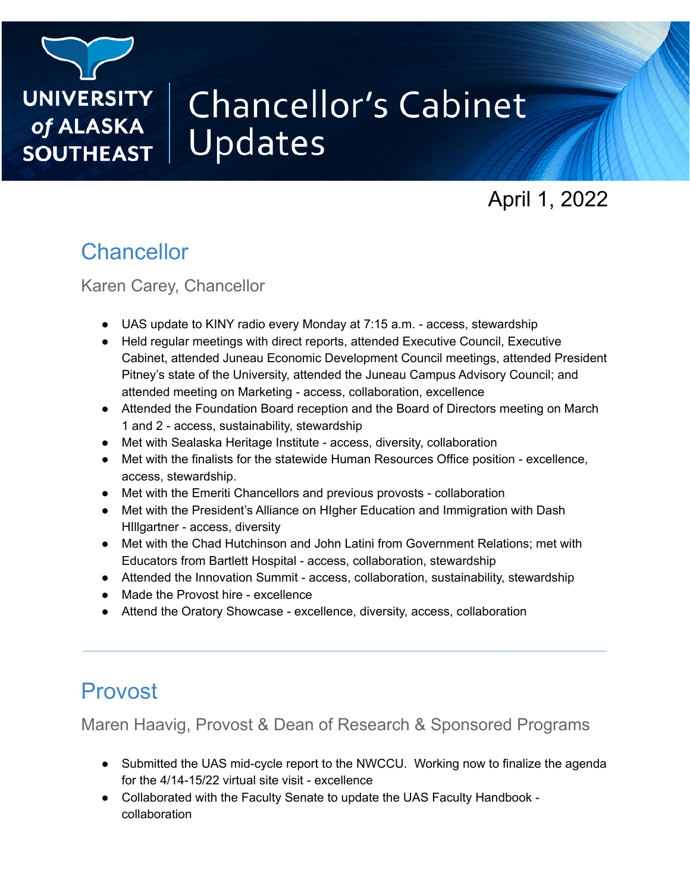

# **Chancellor's Cabinet** Updates

April 1, 2022

# **Chancellor**

Karen Carey, Chancellor

- UAS update to KINY radio every Monday at 7:15 a.m. access, stewardship
- Held regular meetings with direct reports, attended Executive Council, Executive Cabinet, attended Juneau Economic Development Council meetings, attended President Pitney's state of the University, attended the Juneau Campus Advisory Council; and attended meeting on Marketing - access, collaboration, excellence
- Attended the Foundation Board reception and the Board of Directors meeting on March 1 and 2 - access, sustainability, stewardship
- Met with Sealaska Heritage Institute access, diversity, collaboration
- Met with the finalists for the statewide Human Resources Office position excellence, access, stewardship.
- Met with the Emeriti Chancellors and previous provosts collaboration
- Met with the President's Alliance on HIgher Education and Immigration with Dash HIllgartner - access, diversity
- Met with the Chad Hutchinson and John Latini from Government Relations; met with Educators from Bartlett Hospital - access, collaboration, stewardship
- Attended the Innovation Summit access, collaboration, sustainability, stewardship

**\_\_\_\_\_\_\_\_\_\_\_\_\_\_\_\_\_\_\_\_\_\_\_\_\_\_\_\_\_\_\_\_\_\_\_\_\_\_\_\_\_\_\_\_\_\_\_\_\_\_\_\_\_\_\_\_\_\_\_\_\_\_\_\_\_\_\_\_\_\_\_\_\_\_\_\_**

- Made the Provost hire excellence
- Attend the Oratory Showcase excellence, diversity, access, collaboration

# Provost

Maren Haavig, Provost & Dean of Research & Sponsored Programs

- Submitted the UAS mid-cycle report to the NWCCU. Working now to finalize the agenda for the 4/14-15/22 virtual site visit - excellence
- Collaborated with the Faculty Senate to update the UAS Faculty Handbook collaboration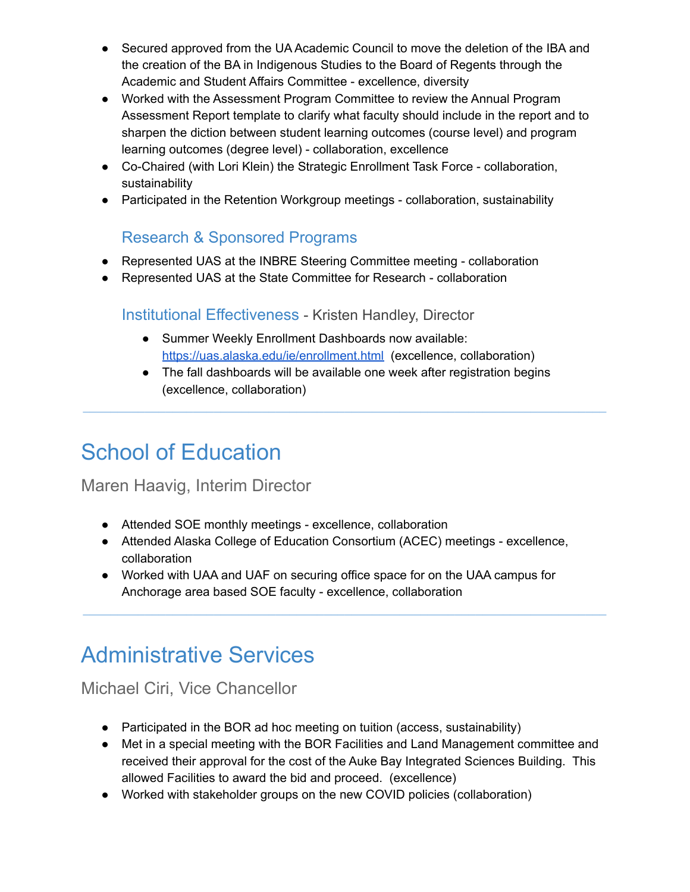- Secured approved from the UA Academic Council to move the deletion of the IBA and the creation of the BA in Indigenous Studies to the Board of Regents through the Academic and Student Affairs Committee - excellence, diversity
- Worked with the Assessment Program Committee to review the Annual Program Assessment Report template to clarify what faculty should include in the report and to sharpen the diction between student learning outcomes (course level) and program learning outcomes (degree level) - collaboration, excellence
- Co-Chaired (with Lori Klein) the Strategic Enrollment Task Force collaboration, sustainability
- Participated in the Retention Workgroup meetings collaboration, sustainability

### Research & Sponsored Programs

- Represented UAS at the INBRE Steering Committee meeting collaboration
- Represented UAS at the State Committee for Research collaboration

### Institutional Effectiveness - Kristen Handley, Director

- Summer Weekly Enrollment Dashboards now available: <https://uas.alaska.edu/ie/enrollment.html> (excellence, collaboration)
- The fall dashboards will be available one week after registration begins (excellence, collaboration)

**\_\_\_\_\_\_\_\_\_\_\_\_\_\_\_\_\_\_\_\_\_\_\_\_\_\_\_\_\_\_\_\_\_\_\_\_\_\_\_\_\_\_\_\_\_\_\_\_\_\_\_\_\_\_\_\_\_\_\_\_\_\_\_\_\_\_\_\_\_\_\_\_\_\_\_\_**

# School of Education

### Maren Haavig, Interim Director

- Attended SOE monthly meetings excellence, collaboration
- Attended Alaska College of Education Consortium (ACEC) meetings excellence, collaboration

**\_\_\_\_\_\_\_\_\_\_\_\_\_\_\_\_\_\_\_\_\_\_\_\_\_\_\_\_\_\_\_\_\_\_\_\_\_\_\_\_\_\_\_\_\_\_\_\_\_\_\_\_\_\_\_\_\_\_\_\_\_\_\_\_\_\_\_\_\_\_\_\_\_\_\_\_**

● Worked with UAA and UAF on securing office space for on the UAA campus for Anchorage area based SOE faculty - excellence, collaboration

# Administrative Services

# Michael Ciri, Vice Chancellor

- Participated in the BOR ad hoc meeting on tuition (access, sustainability)
- Met in a special meeting with the BOR Facilities and Land Management committee and received their approval for the cost of the Auke Bay Integrated Sciences Building. This allowed Facilities to award the bid and proceed. (excellence)
- Worked with stakeholder groups on the new COVID policies (collaboration)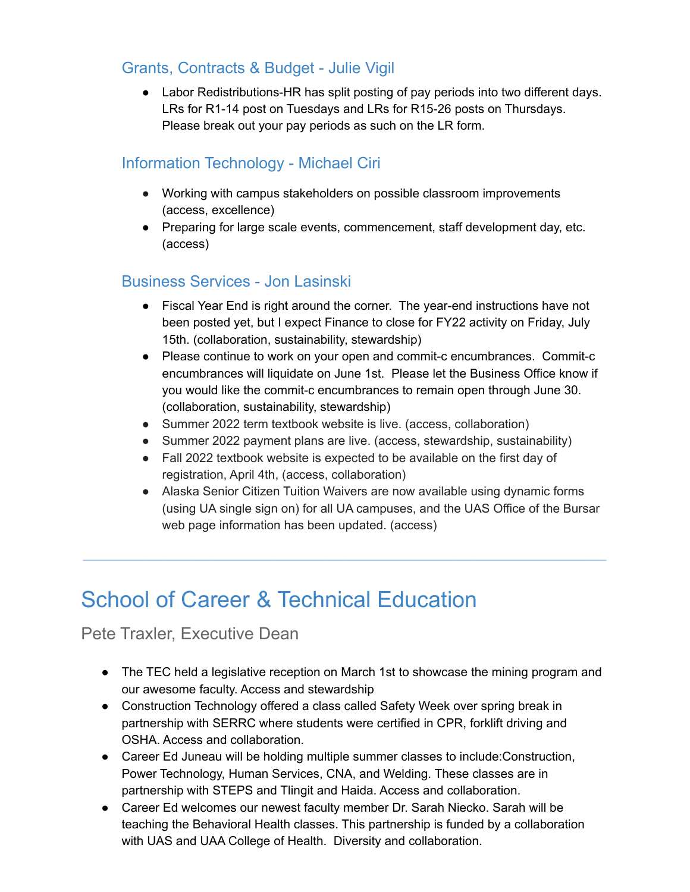### Grants, Contracts & Budget - Julie Vigil

● Labor Redistributions-HR has split posting of pay periods into two different days. LRs for R1-14 post on Tuesdays and LRs for R15-26 posts on Thursdays. Please break out your pay periods as such on the LR form.

### Information Technology - Michael Ciri

- Working with campus stakeholders on possible classroom improvements (access, excellence)
- Preparing for large scale events, commencement, staff development day, etc. (access)

### Business Services - Jon Lasinski

- Fiscal Year End is right around the corner. The year-end instructions have not been posted yet, but I expect Finance to close for FY22 activity on Friday, July 15th. (collaboration, sustainability, stewardship)
- Please continue to work on your open and commit-c encumbrances. Commit-c encumbrances will liquidate on June 1st. Please let the Business Office know if you would like the commit-c encumbrances to remain open through June 30. (collaboration, sustainability, stewardship)
- Summer 2022 term textbook website is live. (access, collaboration)
- Summer 2022 payment plans are live. (access, stewardship, sustainability)
- Fall 2022 textbook website is expected to be available on the first day of registration, April 4th, (access, collaboration)

**\_\_\_\_\_\_\_\_\_\_\_\_\_\_\_\_\_\_\_\_\_\_\_\_\_\_\_\_\_\_\_\_\_\_\_\_\_\_\_\_\_\_\_\_\_\_\_\_\_\_\_\_\_\_\_\_\_\_\_\_\_\_\_\_\_\_\_\_\_\_\_\_\_\_\_\_**

● Alaska Senior Citizen Tuition Waivers are now available using dynamic forms (using UA single sign on) for all UA campuses, and the UAS Office of the Bursar web page information has been updated. (access)

# School of Career & Technical Education

Pete Traxler, Executive Dean

- The TEC held a legislative reception on March 1st to showcase the mining program and our awesome faculty. Access and stewardship
- Construction Technology offered a class called Safety Week over spring break in partnership with SERRC where students were certified in CPR, forklift driving and OSHA. Access and collaboration.
- Career Ed Juneau will be holding multiple summer classes to include:Construction, Power Technology, Human Services, CNA, and Welding. These classes are in partnership with STEPS and Tlingit and Haida. Access and collaboration.
- Career Ed welcomes our newest faculty member Dr. Sarah Niecko. Sarah will be teaching the Behavioral Health classes. This partnership is funded by a collaboration with UAS and UAA College of Health. Diversity and collaboration.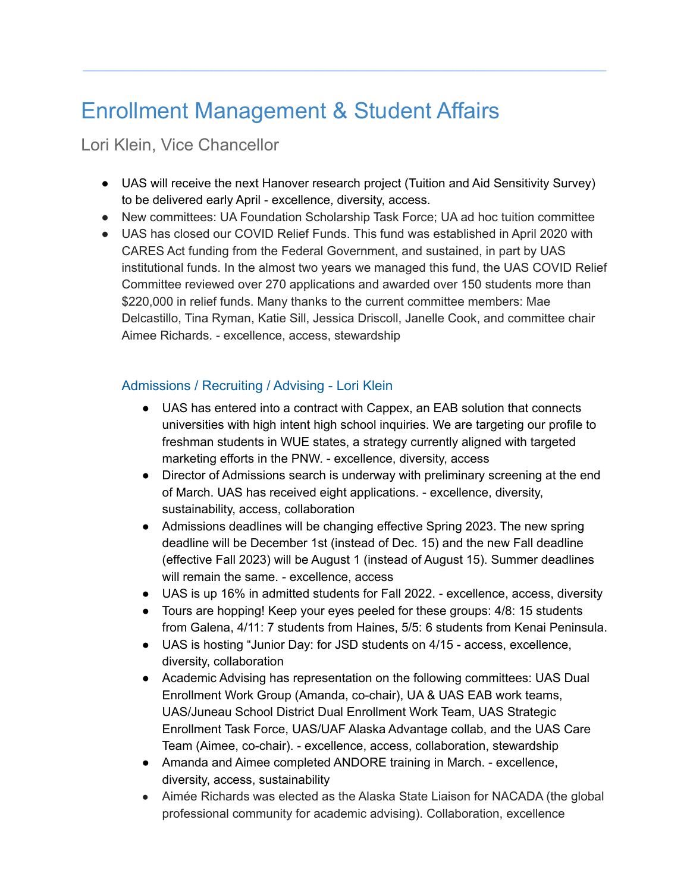# Enrollment Management & Student Affairs

### Lori Klein, Vice Chancellor

● UAS will receive the next Hanover research project (Tuition and Aid Sensitivity Survey) to be delivered early April - excellence, diversity, access.

**\_\_\_\_\_\_\_\_\_\_\_\_\_\_\_\_\_\_\_\_\_\_\_\_\_\_\_\_\_\_\_\_\_\_\_\_\_\_\_\_\_\_\_\_\_\_\_\_\_\_\_\_\_\_\_\_\_\_\_\_\_\_\_\_\_\_\_\_\_\_\_\_\_\_\_\_**

- New committees: UA Foundation Scholarship Task Force; UA ad hoc tuition committee
- UAS has closed our COVID Relief Funds. This fund was established in April 2020 with CARES Act funding from the Federal Government, and sustained, in part by UAS institutional funds. In the almost two years we managed this fund, the UAS COVID Relief Committee reviewed over 270 applications and awarded over 150 students more than \$220,000 in relief funds. Many thanks to the current committee members: Mae Delcastillo, Tina Ryman, Katie Sill, Jessica Driscoll, Janelle Cook, and committee chair Aimee Richards. - excellence, access, stewardship

### Admissions / Recruiting / Advising - Lori Klein

- UAS has entered into a contract with Cappex, an EAB solution that connects universities with high intent high school inquiries. We are targeting our profile to freshman students in WUE states, a strategy currently aligned with targeted marketing efforts in the PNW. - excellence, diversity, access
- Director of Admissions search is underway with preliminary screening at the end of March. UAS has received eight applications. - excellence, diversity, sustainability, access, collaboration
- Admissions deadlines will be changing effective Spring 2023. The new spring deadline will be December 1st (instead of Dec. 15) and the new Fall deadline (effective Fall 2023) will be August 1 (instead of August 15). Summer deadlines will remain the same. - excellence, access
- UAS is up 16% in admitted students for Fall 2022. excellence, access, diversity
- Tours are hopping! Keep your eyes peeled for these groups: 4/8: 15 students from Galena, 4/11: 7 students from Haines, 5/5: 6 students from Kenai Peninsula.
- UAS is hosting "Junior Day: for JSD students on 4/15 access, excellence, diversity, collaboration
- Academic Advising has representation on the following committees: UAS Dual Enrollment Work Group (Amanda, co-chair), UA & UAS EAB work teams, UAS/Juneau School District Dual Enrollment Work Team, UAS Strategic Enrollment Task Force, UAS/UAF Alaska Advantage collab, and the UAS Care Team (Aimee, co-chair). - excellence, access, collaboration, stewardship
- Amanda and Aimee completed ANDORE training in March. excellence, diversity, access, sustainability
- Aimée Richards was elected as the Alaska State Liaison for NACADA (the global professional community for academic advising). Collaboration, excellence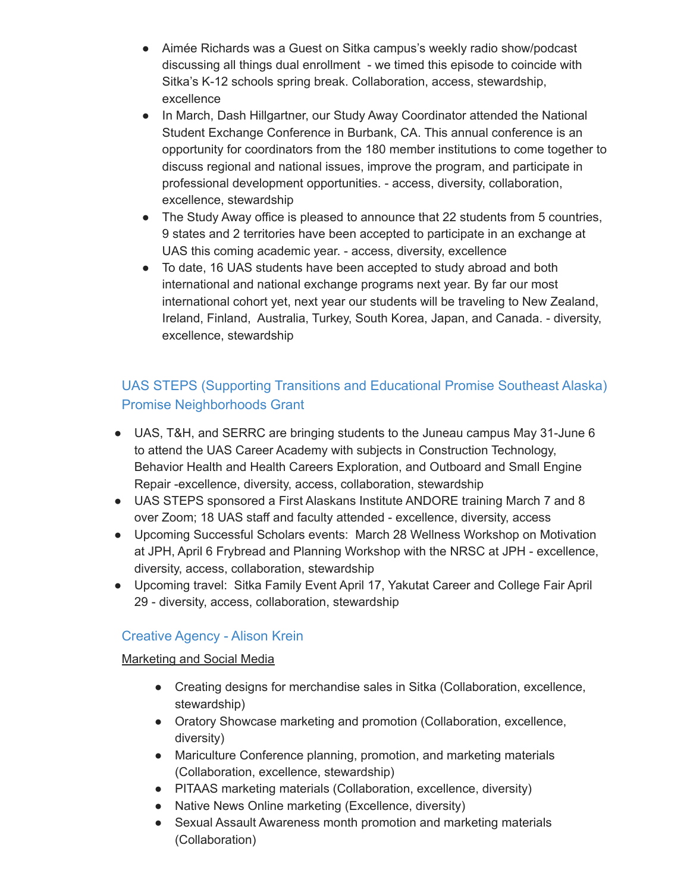- Aimée Richards was a Guest on Sitka campus's weekly radio show/podcast discussing all things dual enrollment - we timed this episode to coincide with Sitka's K-12 schools spring break. Collaboration, access, stewardship, excellence
- In March, Dash Hillgartner, our Study Away Coordinator attended the National Student Exchange Conference in Burbank, CA. This annual conference is an opportunity for coordinators from the 180 member institutions to come together to discuss regional and national issues, improve the program, and participate in professional development opportunities. - access, diversity, collaboration, excellence, stewardship
- The Study Away office is pleased to announce that 22 students from 5 countries, 9 states and 2 territories have been accepted to participate in an exchange at UAS this coming academic year. - access, diversity, excellence
- To date, 16 UAS students have been accepted to study abroad and both international and national exchange programs next year. By far our most international cohort yet, next year our students will be traveling to New Zealand, Ireland, Finland, Australia, Turkey, South Korea, Japan, and Canada. - diversity, excellence, stewardship

### UAS STEPS (Supporting Transitions and Educational Promise Southeast Alaska) Promise Neighborhoods Grant

- UAS, T&H, and SERRC are bringing students to the Juneau campus May 31-June 6 to attend the UAS Career Academy with subjects in Construction Technology, Behavior Health and Health Careers Exploration, and Outboard and Small Engine Repair -excellence, diversity, access, collaboration, stewardship
- UAS STEPS sponsored a First Alaskans Institute ANDORE training March 7 and 8 over Zoom; 18 UAS staff and faculty attended - excellence, diversity, access
- Upcoming Successful Scholars events: March 28 Wellness Workshop on Motivation at JPH, April 6 Frybread and Planning Workshop with the NRSC at JPH - excellence, diversity, access, collaboration, stewardship
- Upcoming travel: Sitka Family Event April 17, Yakutat Career and College Fair April 29 - diversity, access, collaboration, stewardship

### Creative Agency - Alison Krein

#### Marketing and Social Media

- Creating designs for merchandise sales in Sitka (Collaboration, excellence, stewardship)
- Oratory Showcase marketing and promotion (Collaboration, excellence, diversity)
- Mariculture Conference planning, promotion, and marketing materials (Collaboration, excellence, stewardship)
- PITAAS marketing materials (Collaboration, excellence, diversity)
- Native News Online marketing (Excellence, diversity)
- Sexual Assault Awareness month promotion and marketing materials (Collaboration)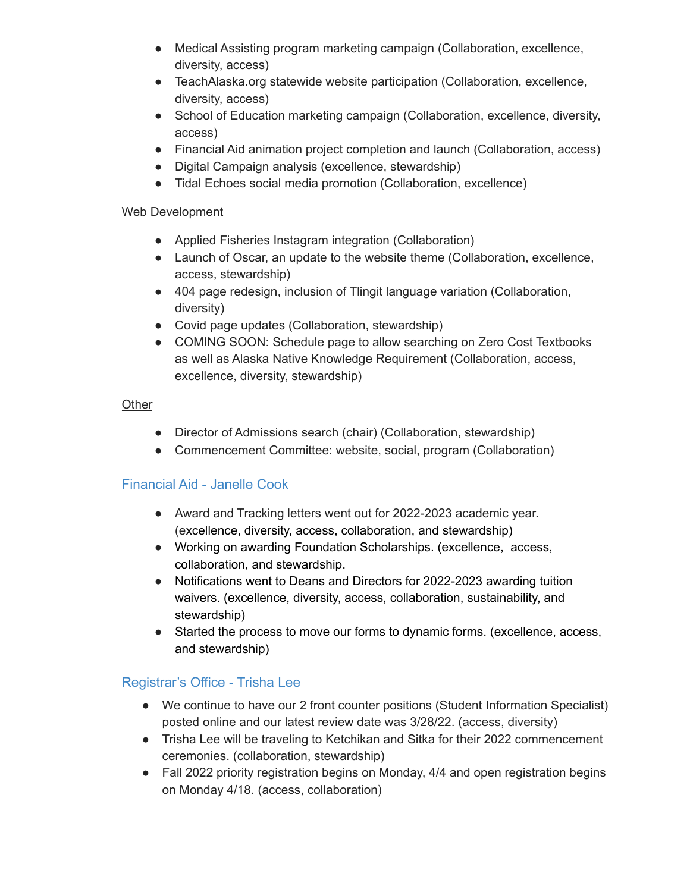- Medical Assisting program marketing campaign (Collaboration, excellence, diversity, access)
- TeachAlaska.org statewide website participation (Collaboration, excellence, diversity, access)
- School of Education marketing campaign (Collaboration, excellence, diversity, access)
- Financial Aid animation project completion and launch (Collaboration, access)
- Digital Campaign analysis (excellence, stewardship)
- Tidal Echoes social media promotion (Collaboration, excellence)

#### Web Development

- Applied Fisheries Instagram integration (Collaboration)
- Launch of Oscar, an update to the website theme (Collaboration, excellence, access, stewardship)
- 404 page redesign, inclusion of Tlingit language variation (Collaboration, diversity)
- Covid page updates (Collaboration, stewardship)
- COMING SOON: Schedule page to allow searching on Zero Cost Textbooks as well as Alaska Native Knowledge Requirement (Collaboration, access, excellence, diversity, stewardship)

#### **Other**

- Director of Admissions search (chair) (Collaboration, stewardship)
- Commencement Committee: website, social, program (Collaboration)

### Financial Aid - Janelle Cook

- Award and Tracking letters went out for 2022-2023 academic year. (excellence, diversity, access, collaboration, and stewardship)
- Working on awarding Foundation Scholarships. (excellence, access, collaboration, and stewardship.
- Notifications went to Deans and Directors for 2022-2023 awarding tuition waivers. (excellence, diversity, access, collaboration, sustainability, and stewardship)
- Started the process to move our forms to dynamic forms. (excellence, access, and stewardship)

### Registrar's Office - Trisha Lee

- We continue to have our 2 front counter positions (Student Information Specialist) posted online and our latest review date was 3/28/22. (access, diversity)
- Trisha Lee will be traveling to Ketchikan and Sitka for their 2022 commencement ceremonies. (collaboration, stewardship)
- Fall 2022 priority registration begins on Monday, 4/4 and open registration begins on Monday 4/18. (access, collaboration)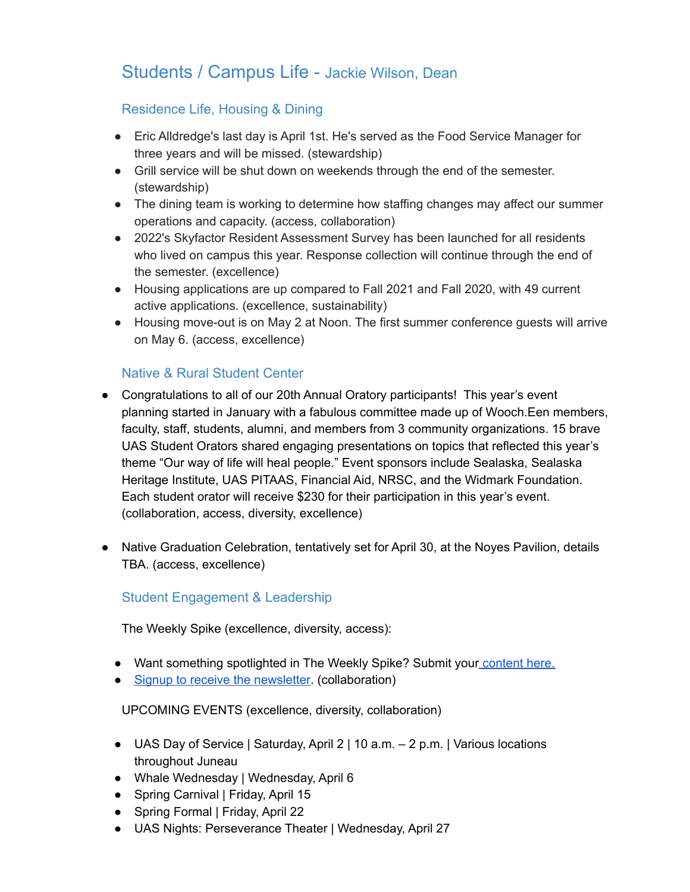# Students / Campus Life - Jackie Wilson, Dean

### Residence Life, Housing & Dining

- Eric Alldredge's last day is April 1st. He's served as the Food Service Manager for three years and will be missed. (stewardship)
- Grill service will be shut down on weekends through the end of the semester. (stewardship)
- The dining team is working to determine how staffing changes may affect our summer operations and capacity. (access, collaboration)
- 2022's Skyfactor Resident Assessment Survey has been launched for all residents who lived on campus this year. Response collection will continue through the end of the semester. (excellence)
- Housing applications are up compared to Fall 2021 and Fall 2020, with 49 current active applications. (excellence, sustainability)
- Housing move-out is on May 2 at Noon. The first summer conference guests will arrive on May 6. (access, excellence)

### Native & Rural Student Center

- Congratulations to all of our 20th Annual Oratory participants! This year's event planning started in January with a fabulous committee made up of Wooch.Een members, faculty, staff, students, alumni, and members from 3 community organizations. 15 brave UAS Student Orators shared engaging presentations on topics that reflected this year's theme "Our way of life will heal people." Event sponsors include Sealaska, Sealaska Heritage Institute, UAS PITAAS, Financial Aid, NRSC, and the Widmark Foundation. Each student orator will receive \$230 for their participation in this year's event. (collaboration, access, diversity, excellence)
- Native Graduation Celebration, tentatively set for April 30, at the Noyes Pavilion, details TBA. (access, excellence)

### Student Engagement & Leadership

The Weekly Spike (excellence, diversity, access):

- Want something spotlighted in The Weekly Spike? Submit your [content](https://docs.google.com/forms/d/e/1FAIpQLSfZBxHlcxmreJJB_CPd4JBrgsJwxuD7m8W24Nrp09juskESgQ/viewform?usp=sf_link) here.
- Signup to receive the [newsletter.](http://eepurl.com/hSavYD) (collaboration)

#### UPCOMING EVENTS (excellence, diversity, collaboration)

- UAS Day of Service | Saturday, April 2 | 10 a.m. 2 p.m. | Various locations throughout Juneau
- Whale Wednesday | Wednesday, April 6
- Spring Carnival | Friday, April 15
- Spring Formal | Friday, April 22
- UAS Nights: Perseverance Theater | Wednesday, April 27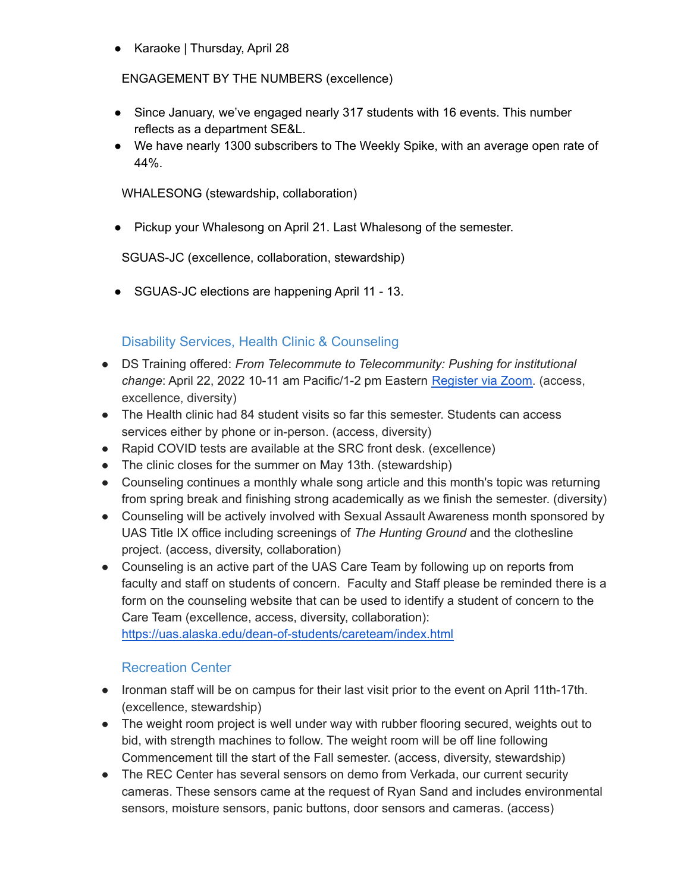● Karaoke | Thursday, April 28

ENGAGEMENT BY THE NUMBERS (excellence)

- Since January, we've engaged nearly 317 students with 16 events. This number reflects as a department SE&L.
- We have nearly 1300 subscribers to The Weekly Spike, with an average open rate of 44%.

WHALESONG (stewardship, collaboration)

● Pickup your Whalesong on April 21. Last Whalesong of the semester.

SGUAS-JC (excellence, collaboration, stewardship)

● SGUAS-JC elections are happening April 11 - 13.

### Disability Services, Health Clinic & Counseling

- DS Training offered: *From Telecommute to Telecommunity: Pushing for institutional change*: April 22, 2022 10-11 am Pacific/1-2 pm Eastern [Register](https://washington.zoom.us/meeting/register/tJUuc-itqj0qHtx05zRiThNGpmzvhsGw1lYo) via Zoom. (access, excellence, diversity)
- The Health clinic had 84 student visits so far this semester. Students can access services either by phone or in-person. (access, diversity)
- Rapid COVID tests are available at the SRC front desk. (excellence)
- The clinic closes for the summer on May 13th. (stewardship)
- Counseling continues a monthly whale song article and this month's topic was returning from spring break and finishing strong academically as we finish the semester. (diversity)
- Counseling will be actively involved with Sexual Assault Awareness month sponsored by UAS Title IX office including screenings of *The Hunting Ground* and the clothesline project. (access, diversity, collaboration)
- Counseling is an active part of the UAS Care Team by following up on reports from faculty and staff on students of concern. Faculty and Staff please be reminded there is a form on the counseling website that can be used to identify a student of concern to the Care Team (excellence, access, diversity, collaboration): <https://uas.alaska.edu/dean-of-students/careteam/index.html>

### Recreation Center

- Ironman staff will be on campus for their last visit prior to the event on April 11th-17th. (excellence, stewardship)
- The weight room project is well under way with rubber flooring secured, weights out to bid, with strength machines to follow. The weight room will be off line following Commencement till the start of the Fall semester. (access, diversity, stewardship)
- The REC Center has several sensors on demo from Verkada, our current security cameras. These sensors came at the request of Ryan Sand and includes environmental sensors, moisture sensors, panic buttons, door sensors and cameras. (access)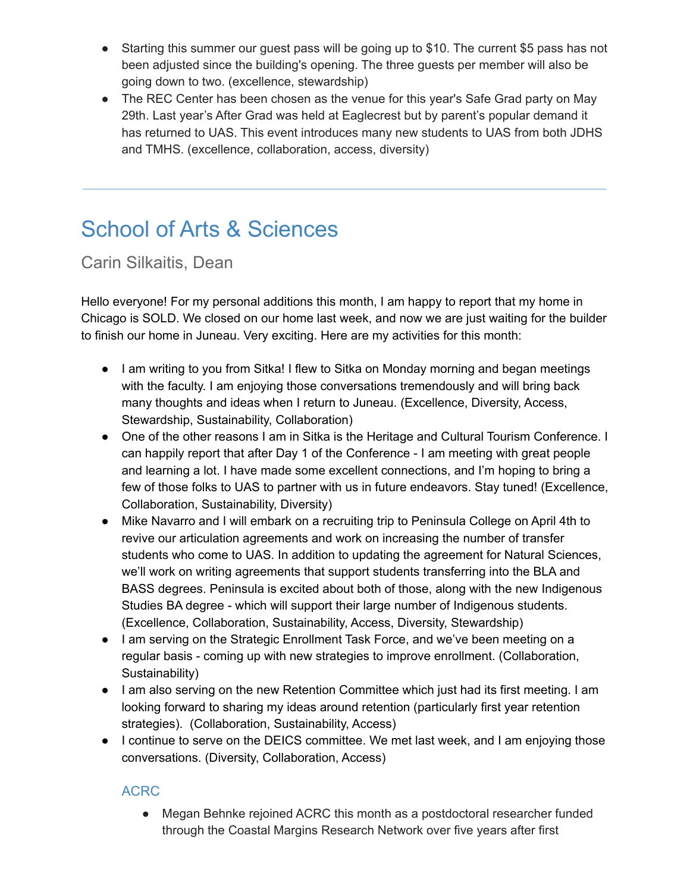- Starting this summer our guest pass will be going up to \$10. The current \$5 pass has not been adjusted since the building's opening. The three guests per member will also be going down to two. (excellence, stewardship)
- The REC Center has been chosen as the venue for this year's Safe Grad party on May 29th. Last year's After Grad was held at Eaglecrest but by parent's popular demand it has returned to UAS. This event introduces many new students to UAS from both JDHS and TMHS. (excellence, collaboration, access, diversity)

**\_\_\_\_\_\_\_\_\_\_\_\_\_\_\_\_\_\_\_\_\_\_\_\_\_\_\_\_\_\_\_\_\_\_\_\_\_\_\_\_\_\_\_\_\_\_\_\_\_\_\_\_\_\_\_\_\_\_\_\_\_\_\_\_\_\_\_\_\_\_\_\_\_\_\_\_**

# School of Arts & Sciences

Carin Silkaitis, Dean

Hello everyone! For my personal additions this month, I am happy to report that my home in Chicago is SOLD. We closed on our home last week, and now we are just waiting for the builder to finish our home in Juneau. Very exciting. Here are my activities for this month:

- I am writing to you from Sitka! I flew to Sitka on Monday morning and began meetings with the faculty. I am enjoying those conversations tremendously and will bring back many thoughts and ideas when I return to Juneau. (Excellence, Diversity, Access, Stewardship, Sustainability, Collaboration)
- One of the other reasons I am in Sitka is the Heritage and Cultural Tourism Conference. I can happily report that after Day 1 of the Conference - I am meeting with great people and learning a lot. I have made some excellent connections, and I'm hoping to bring a few of those folks to UAS to partner with us in future endeavors. Stay tuned! (Excellence, Collaboration, Sustainability, Diversity)
- Mike Navarro and I will embark on a recruiting trip to Peninsula College on April 4th to revive our articulation agreements and work on increasing the number of transfer students who come to UAS. In addition to updating the agreement for Natural Sciences, we'll work on writing agreements that support students transferring into the BLA and BASS degrees. Peninsula is excited about both of those, along with the new Indigenous Studies BA degree - which will support their large number of Indigenous students. (Excellence, Collaboration, Sustainability, Access, Diversity, Stewardship)
- I am serving on the Strategic Enrollment Task Force, and we've been meeting on a regular basis - coming up with new strategies to improve enrollment. (Collaboration, Sustainability)
- I am also serving on the new Retention Committee which just had its first meeting. I am looking forward to sharing my ideas around retention (particularly first year retention strategies). (Collaboration, Sustainability, Access)
- I continue to serve on the DEICS committee. We met last week, and I am enjoying those conversations. (Diversity, Collaboration, Access)

### ACRC

● Megan Behnke rejoined ACRC this month as a postdoctoral researcher funded through the Coastal Margins Research Network over five years after first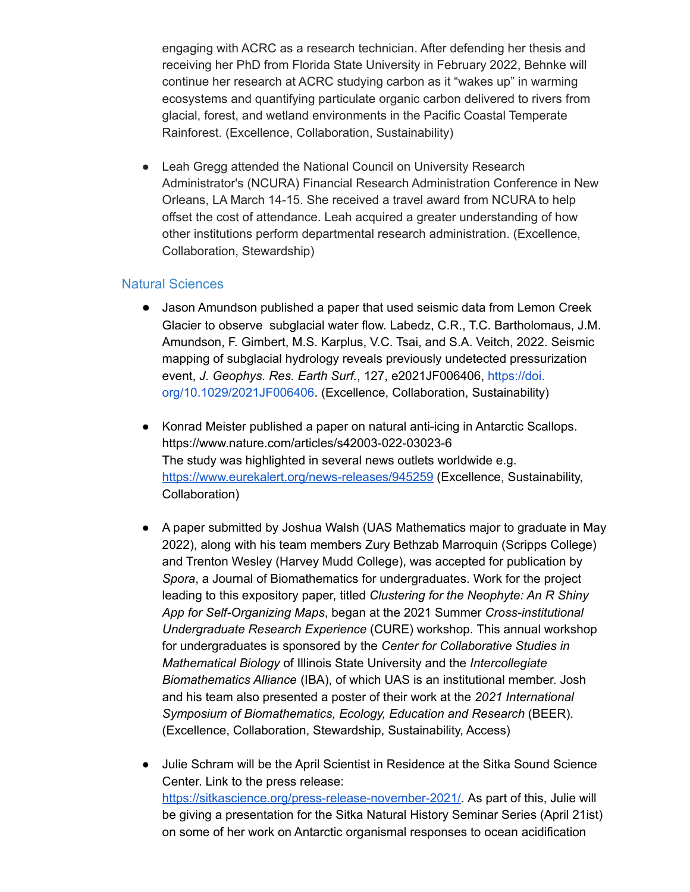engaging with ACRC as a research technician. After defending her thesis and receiving her PhD from Florida State University in February 2022, Behnke will continue her research at ACRC studying carbon as it "wakes up" in warming ecosystems and quantifying particulate organic carbon delivered to rivers from glacial, forest, and wetland environments in the Pacific Coastal Temperate Rainforest. (Excellence, Collaboration, Sustainability)

● Leah Gregg attended the National Council on University Research Administrator's (NCURA) Financial Research Administration Conference in New Orleans, LA March 14-15. She received a travel award from NCURA to help offset the cost of attendance. Leah acquired a greater understanding of how other institutions perform departmental research administration. (Excellence, Collaboration, Stewardship)

#### Natural Sciences

- Jason Amundson published a paper that used seismic data from Lemon Creek Glacier to observe subglacial water flow. Labedz, C.R., T.C. Bartholomaus, J.M. Amundson, F. Gimbert, M.S. Karplus, V.C. Tsai, and S.A. Veitch, 2022. Seismic mapping of subglacial hydrology reveals previously undetected pressurization event, *J. Geophys. Res. Earth Surf.*, 127, e2021JF006406, [https://doi.](https://doi.org/10.1029/2021JF006406) [org/10.1029/2021JF006406](https://doi.org/10.1029/2021JF006406). (Excellence, Collaboration, Sustainability)
- Konrad Meister published a paper on natural anti-icing in Antarctic Scallops. https://www.nature.com/articles/s42003-022-03023-6 The study was highlighted in several news outlets worldwide e.g. <https://www.eurekalert.org/news-releases/945259> (Excellence, Sustainability, Collaboration)
- A paper submitted by Joshua Walsh (UAS Mathematics major to graduate in May 2022), along with his team members Zury Bethzab Marroquin (Scripps College) and Trenton Wesley (Harvey Mudd College), was accepted for publication by *Spora*, a Journal of Biomathematics for undergraduates. Work for the project leading to this expository paper, titled *Clustering for the Neophyte: An R Shiny App for Self-Organizing Maps*, began at the 2021 Summer *Cross-institutional Undergraduate Research Experience* (CURE) workshop. This annual workshop for undergraduates is sponsored by the *Center for Collaborative Studies in Mathematical Biology* of Illinois State University and the *Intercollegiate Biomathematics Alliance* (IBA), of which UAS is an institutional member. Josh and his team also presented a poster of their work at the *2021 International Symposium of Biomathematics, Ecology, Education and Research* (BEER). (Excellence, Collaboration, Stewardship, Sustainability, Access)
- Julie Schram will be the April Scientist in Residence at the Sitka Sound Science Center. Link to the press release: <https://sitkascience.org/press-release-november-2021/>. As part of this, Julie will be giving a presentation for the Sitka Natural History Seminar Series (April 21ist) on some of her work on Antarctic organismal responses to ocean acidification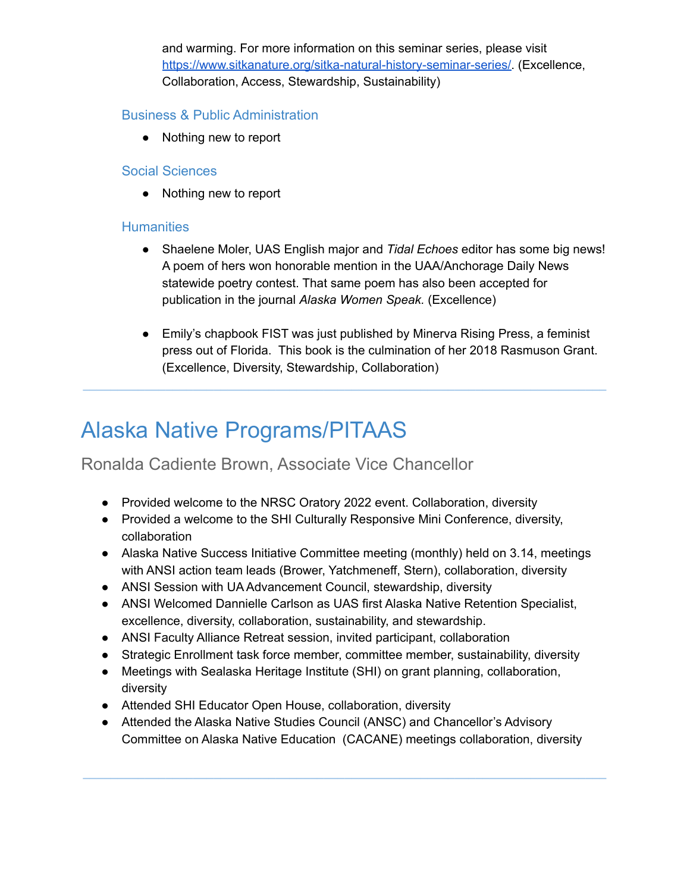and warming. For more information on this seminar series, please visit [https://www.sitkanature.org/sitka-natural-history-seminar-series/.](https://www.sitkanature.org/sitka-natural-history-seminar-series/) (Excellence, Collaboration, Access, Stewardship, Sustainability)

#### Business & Public Administration

● Nothing new to report

#### Social Sciences

● Nothing new to report

#### **Humanities**

- Shaelene Moler, UAS English major and *Tidal Echoes* editor has some big news! A poem of hers won honorable mention in the UAA/Anchorage Daily News statewide poetry contest. That same poem has also been accepted for publication in the journal *Alaska Women Speak.* (Excellence)
- Emily's chapbook FIST was just published by Minerva Rising Press, a feminist press out of Florida. This book is the culmination of her 2018 Rasmuson Grant. (Excellence, Diversity, Stewardship, Collaboration)

**\_\_\_\_\_\_\_\_\_\_\_\_\_\_\_\_\_\_\_\_\_\_\_\_\_\_\_\_\_\_\_\_\_\_\_\_\_\_\_\_\_\_\_\_\_\_\_\_\_\_\_\_\_\_\_\_\_\_\_\_\_\_\_\_\_\_\_\_\_\_\_\_\_\_\_\_**

# Alaska Native Programs/PITAAS

### Ronalda Cadiente Brown, Associate Vice Chancellor

- Provided welcome to the NRSC Oratory 2022 event. Collaboration, diversity
- Provided a welcome to the SHI Culturally Responsive Mini Conference, diversity, collaboration
- Alaska Native Success Initiative Committee meeting (monthly) held on 3.14, meetings with ANSI action team leads (Brower, Yatchmeneff, Stern), collaboration, diversity
- ANSI Session with UA Advancement Council, stewardship, diversity
- ANSI Welcomed Dannielle Carlson as UAS first Alaska Native Retention Specialist, excellence, diversity, collaboration, sustainability, and stewardship.
- ANSI Faculty Alliance Retreat session, invited participant, collaboration
- Strategic Enrollment task force member, committee member, sustainability, diversity
- Meetings with Sealaska Heritage Institute (SHI) on grant planning, collaboration, diversity
- Attended SHI Educator Open House, collaboration, diversity
- Attended the Alaska Native Studies Council (ANSC) and Chancellor's Advisory Committee on Alaska Native Education (CACANE) meetings collaboration, diversity

**\_\_\_\_\_\_\_\_\_\_\_\_\_\_\_\_\_\_\_\_\_\_\_\_\_\_\_\_\_\_\_\_\_\_\_\_\_\_\_\_\_\_\_\_\_\_\_\_\_\_\_\_\_\_\_\_\_\_\_\_\_\_\_\_\_\_\_\_\_\_\_\_\_\_\_\_**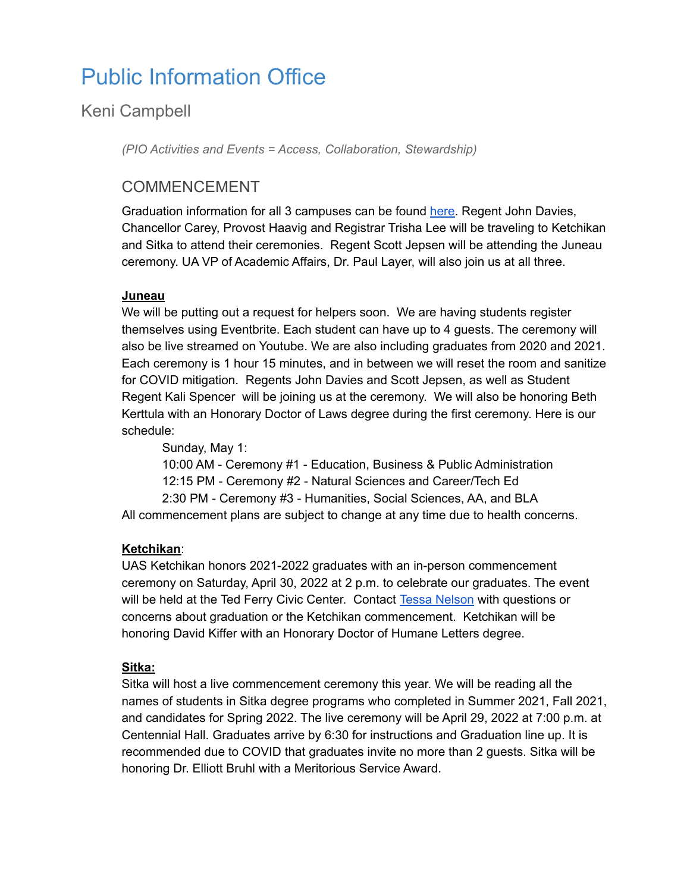# Public Information Office

### Keni Campbell

*(PIO Activities and Events = Access, Collaboration, Stewardship)*

### COMMENCEMENT

Graduation information for all 3 campuses can be found [here.](https://uas.alaska.edu/registrar/graduation/index.html) Regent John Davies, Chancellor Carey, Provost Haavig and Registrar Trisha Lee will be traveling to Ketchikan and Sitka to attend their ceremonies. Regent Scott Jepsen will be attending the Juneau ceremony. UA VP of Academic Affairs, Dr. Paul Layer, will also join us at all three.

#### **Juneau**

We will be putting out a request for helpers soon. We are having students register themselves using Eventbrite. Each student can have up to 4 guests. The ceremony will also be live streamed on Youtube. We are also including graduates from 2020 and 2021. Each ceremony is 1 hour 15 minutes, and in between we will reset the room and sanitize for COVID mitigation. Regents John Davies and Scott Jepsen, as well as Student Regent Kali Spencer will be joining us at the ceremony. We will also be honoring Beth Kerttula with an Honorary Doctor of Laws degree during the first ceremony. Here is our schedule:

Sunday, May 1: 10:00 AM - Ceremony #1 - Education, Business & Public Administration 12:15 PM - Ceremony #2 - Natural Sciences and Career/Tech Ed 2:30 PM - Ceremony #3 - Humanities, Social Sciences, AA, and BLA All commencement plans are subject to change at any time due to health concerns.

#### **Ketchikan**:

UAS Ketchikan honors 2021-2022 graduates with an in-person commencement ceremony on Saturday, April 30, 2022 at 2 p.m. to celebrate our graduates. The event will be held at the Ted Ferry Civic Center. Contact Tessa [Nelson](https://uas.alaska.edu/dir/trnelson4.html) with questions or concerns about graduation or the Ketchikan commencement. Ketchikan will be honoring David Kiffer with an Honorary Doctor of Humane Letters degree.

#### **Sitka:**

Sitka will host a live commencement ceremony this year. We will be reading all the names of students in Sitka degree programs who completed in Summer 2021, Fall 2021, and candidates for Spring 2022. The live ceremony will be April 29, 2022 at 7:00 p.m. at Centennial Hall. Graduates arrive by 6:30 for instructions and Graduation line up. It is recommended due to COVID that graduates invite no more than 2 guests. Sitka will be honoring Dr. Elliott Bruhl with a Meritorious Service Award.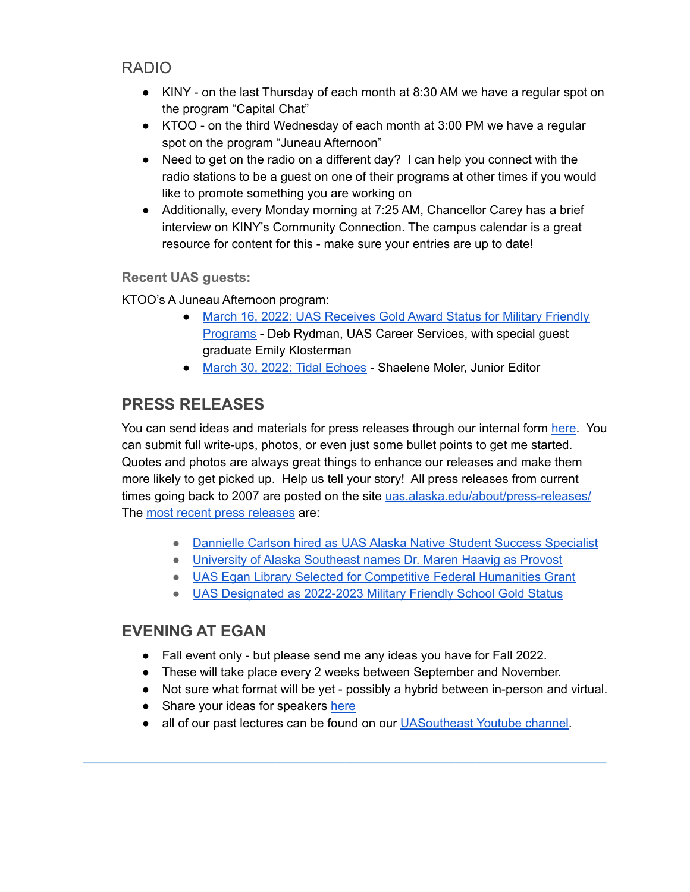RADIO

- KINY on the last Thursday of each month at 8:30 AM we have a regular spot on the program "Capital Chat"
- KTOO on the third Wednesday of each month at 3:00 PM we have a regular spot on the program "Juneau Afternoon"
- $\bullet$  Need to get on the radio on a different day? I can help you connect with the radio stations to be a guest on one of their programs at other times if you would like to promote something you are working on
- Additionally, every Monday morning at 7:25 AM, Chancellor Carey has a brief interview on KINY's Community Connection. The campus calendar is a great resource for content for this - make sure your entries are up to date!

#### **Recent UAS guests:**

KTOO's A Juneau Afternoon program:

- March 16, 2022: UAS [Receives](https://www.ktoo.org/2022/03/17/uas-receives-gold-award-status-for-its-military-friendly-programs/) Gold Award Status for Military Friendly [Programs](https://www.ktoo.org/2022/03/17/uas-receives-gold-award-status-for-its-military-friendly-programs/) - Deb Rydman, UAS Career Services, with special guest graduate Emily Klosterman
- March 30, 2022: Tidal [Echoes](https://www.ktoo.org/2022/03/31/nami-juneau-offers-mental-health-program-to-build-family-support-2022-edition-of-tidal-echoes-published-discover-southeasts-summer-programs-2022-03-30-tidal-echoes-a-literary-journal-with-18-years-of/) Shaelene Moler, Junior Editor

# **PRESS RELEASES**

You can send ideas and materials for press releases through our internal form [here](https://docs.google.com/forms/d/e/1FAIpQLScm2nXsQkCHUncAHElCYH5NM8Zd0uuhPTJAoe9Ld3rH7eqU0g/viewform). You can submit full write-ups, photos, or even just some bullet points to get me started. Quotes and photos are always great things to enhance our releases and make them more likely to get picked up. Help us tell your story! All press releases from current times going back to 2007 are posted on the site [uas.alaska.edu/about/press-releases/](https://www.uas.alaska.edu/about/press-releases/) The most recent press [releases](https://uas.alaska.edu/about/press-releases/index.html) are:

- Dannielle Carlson hired as UAS Alaska Native Student Success [Specialist](https://uas.alaska.edu/about/press-releases/2022/220321-native-success-specialist.html)
- University of Alaska [Southeast](https://uas.alaska.edu/about/press-releases/2022/220321-Maren-Haavig-Provost.html) names Dr. Maren Haavig as Provost
- UAS Egan Library Selected for [Competitive](https://uas.alaska.edu/about/press-releases/2022/220317-cyril-george.html) Federal Humanities Grant
- UAS [Designated](https://uas.alaska.edu/about/press-releases/2022/220308-military-friendly.html) as 2022-2023 Military Friendly School Gold Status

### **EVENING AT EGAN**

- Fall event only but please send me any ideas you have for Fall 2022.
- These will take place every 2 weeks between September and November.
- Not sure what format will be yet possibly a hybrid between in-person and virtual.
- Share your ideas for speakers [here](https://forms.gle/LkV7paamvJBNrd8w9)
- all of our past lectures can be found on our [UASoutheast](https://www.youtube.com/playlist?list=PLAsez5OFib-TzdRMKBDD3ob_d38ghhcO_) Youtube channel.

**\_\_\_\_\_\_\_\_\_\_\_\_\_\_\_\_\_\_\_\_\_\_\_\_\_\_\_\_\_\_\_\_\_\_\_\_\_\_\_\_\_\_\_\_\_\_\_\_\_\_\_\_\_\_\_\_\_\_\_\_\_\_\_\_\_\_\_\_\_\_\_\_\_\_\_\_**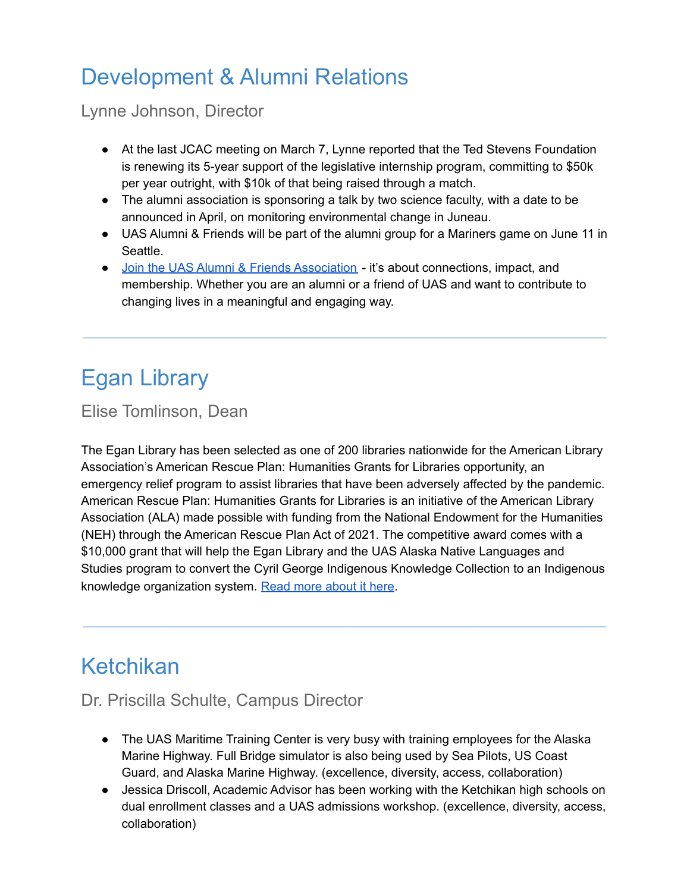# Development & Alumni Relations

Lynne Johnson, Director

- At the last JCAC meeting on March 7, Lynne reported that the Ted Stevens Foundation is renewing its 5-year support of the legislative internship program, committing to \$50k per year outright, with \$10k of that being raised through a match.
- The alumni association is sponsoring a talk by two science faculty, with a date to be announced in April, on monitoring environmental change in Juneau.
- UAS Alumni & Friends will be part of the alumni group for a Mariners game on June 11 in Seattle.
- Join the UAS Alumni & Friends [Association](https://uas.alaska.edu/alumni/join-us.html) it's about connections, impact, and membership. Whether you are an alumni or a friend of UAS and want to contribute to changing lives in a meaningful and engaging way.

**\_\_\_\_\_\_\_\_\_\_\_\_\_\_\_\_\_\_\_\_\_\_\_\_\_\_\_\_\_\_\_\_\_\_\_\_\_\_\_\_\_\_\_\_\_\_\_\_\_\_\_\_\_\_\_\_\_\_\_\_\_\_\_\_\_\_\_\_\_\_\_\_\_\_\_\_**

# Egan Library

Elise Tomlinson, Dean

The Egan Library has been selected as one of 200 libraries nationwide for the American Library Association's American Rescue Plan: Humanities Grants for Libraries opportunity, an emergency relief program to assist libraries that have been adversely affected by the pandemic. American Rescue Plan: Humanities Grants for Libraries is an initiative of the American Library Association (ALA) made possible with funding from the National Endowment for the Humanities (NEH) through the American Rescue Plan Act of 2021. The competitive award comes with a \$10,000 grant that will help the Egan Library and the UAS Alaska Native Languages and Studies program to convert the Cyril George Indigenous Knowledge Collection to an Indigenous knowledge organization system. Read more [about](https://uas.alaska.edu/about/press-releases/2022/220317-cyril-george.html) it here.

**\_\_\_\_\_\_\_\_\_\_\_\_\_\_\_\_\_\_\_\_\_\_\_\_\_\_\_\_\_\_\_\_\_\_\_\_\_\_\_\_\_\_\_\_\_\_\_\_\_\_\_\_\_\_\_\_\_\_\_\_\_\_\_\_\_\_\_\_\_\_\_\_\_\_\_\_**

# Ketchikan

# Dr. Priscilla Schulte, Campus Director

- The UAS Maritime Training Center is very busy with training employees for the Alaska Marine Highway. Full Bridge simulator is also being used by Sea Pilots, US Coast Guard, and Alaska Marine Highway. (excellence, diversity, access, collaboration)
- Jessica Driscoll, Academic Advisor has been working with the Ketchikan high schools on dual enrollment classes and a UAS admissions workshop. (excellence, diversity, access, collaboration)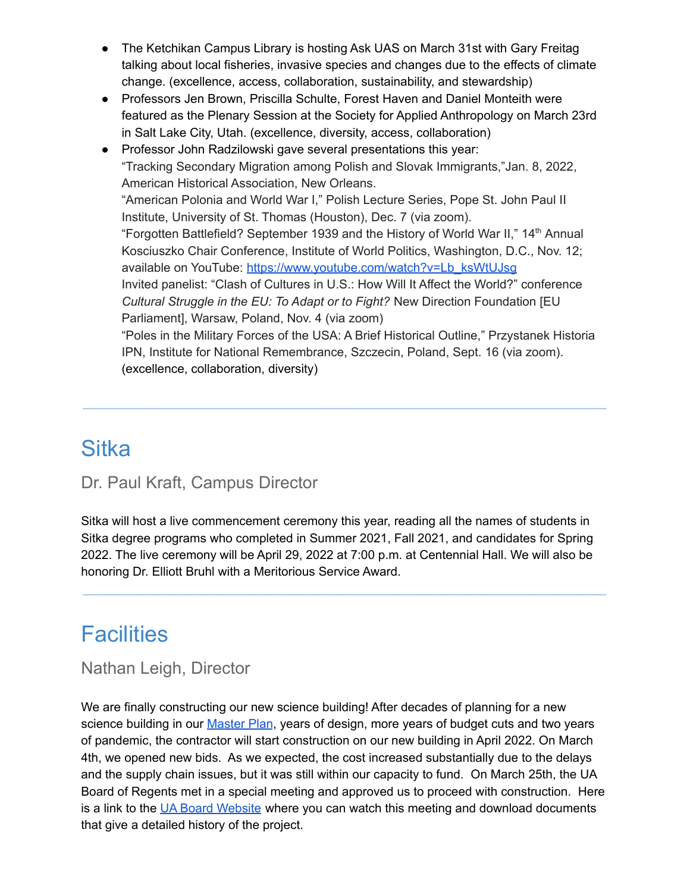- The Ketchikan Campus Library is hosting Ask UAS on March 31st with Gary Freitag talking about local fisheries, invasive species and changes due to the effects of climate change. (excellence, access, collaboration, sustainability, and stewardship)
- Professors Jen Brown, Priscilla Schulte, Forest Haven and Daniel Monteith were featured as the Plenary Session at the Society for Applied Anthropology on March 23rd in Salt Lake City, Utah. (excellence, diversity, access, collaboration)
- Professor John Radzilowski gave several presentations this year: "Tracking Secondary Migration among Polish and Slovak Immigrants,"Jan. 8, 2022, American Historical Association, New Orleans. "American Polonia and World War I," Polish Lecture Series, Pope St. John Paul II Institute, University of St. Thomas (Houston), Dec. 7 (via zoom). "Forgotten Battlefield? September 1939 and the History of World War II," 14<sup>th</sup> Annual Kosciuszko Chair Conference, Institute of World Politics, Washington, D.C., Nov. 12; available on YouTube: [https://www.youtube.com/watch?v=Lb\\_ksWtUJsg](https://www.youtube.com/watch?v=Lb_ksWtUJsg) Invited panelist: "Clash of Cultures in U.S.: How Will It Affect the World?" conference *Cultural Struggle in the EU: To Adapt or to Fight?* New Direction Foundation [EU Parliament], Warsaw, Poland, Nov. 4 (via zoom) "Poles in the Military Forces of the USA: A Brief Historical Outline," Przystanek Historia IPN, Institute for National Remembrance, Szczecin, Poland, Sept. 16 (via zoom). (excellence, collaboration, diversity)

**\_\_\_\_\_\_\_\_\_\_\_\_\_\_\_\_\_\_\_\_\_\_\_\_\_\_\_\_\_\_\_\_\_\_\_\_\_\_\_\_\_\_\_\_\_\_\_\_\_\_\_\_\_\_\_\_\_\_\_\_\_\_\_\_\_\_\_\_\_\_\_\_\_\_\_\_**

# **Sitka**

# Dr. Paul Kraft, Campus Director

Sitka will host a live commencement ceremony this year, reading all the names of students in Sitka degree programs who completed in Summer 2021, Fall 2021, and candidates for Spring 2022. The live ceremony will be April 29, 2022 at 7:00 p.m. at Centennial Hall. We will also be honoring Dr. Elliott Bruhl with a Meritorious Service Award.

**\_\_\_\_\_\_\_\_\_\_\_\_\_\_\_\_\_\_\_\_\_\_\_\_\_\_\_\_\_\_\_\_\_\_\_\_\_\_\_\_\_\_\_\_\_\_\_\_\_\_\_\_\_\_\_\_\_\_\_\_\_\_\_\_\_\_\_\_\_\_\_\_\_\_\_\_**

# **Facilities**

### Nathan Leigh, Director

We are finally constructing our new science building! After decades of planning for a new science building in our [Master](https://uas.alaska.edu/facilities_services/master-plan.html) Plan, years of design, more years of budget cuts and two years of pandemic, the contractor will start construction on our new building in April 2022. On March 4th, we opened new bids. As we expected, the cost increased substantially due to the delays and the supply chain issues, but it was still within our capacity to fund. On March 25th, the UA Board of Regents met in a special meeting and approved us to proceed with construction. Here is a link to the UA Board [Website](https://www.alaska.edu/bor/agendas/index.php) where you can watch this meeting and download documents that give a detailed history of the project.